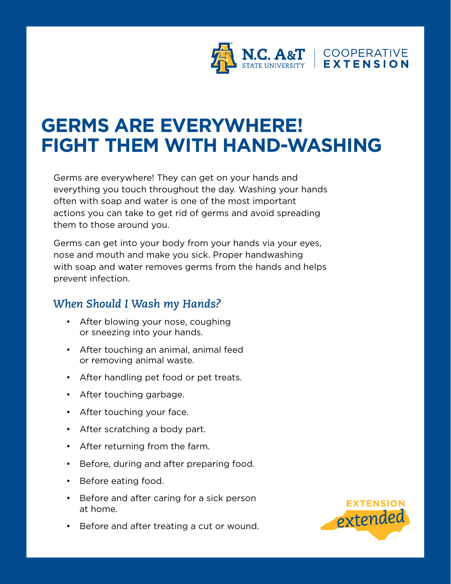

## **GERMS ARE EVERYWHERE! FIGHT THEM WITH HAND-WASHING**

Germs are everywhere! They can get on your hands and everything you touch throughout the day. Washing your hands often with soap and water is one of the most important actions you can take to get rid of germs and avoid spreading them to those around you.

Germs can get into your body from your hands via your eyes, nose and mouth and make you sick. Proper handwashing with soap and water removes germs from the hands and helps prevent infection.

## *When Should I Wash my Hands?*

- After blowing your nose, coughing or sneezing into your hands.
- After touching an animal, animal feed or removing animal waste.
- After handling pet food or pet treats.
- After touching garbage.
- After touching your face.
- After scratching a body part.
- After returning from the farm.
- Before, during and after preparing food.
- Before eating food.
- Before and after caring for a sick person at home.
- Before and after treating a cut or wound.